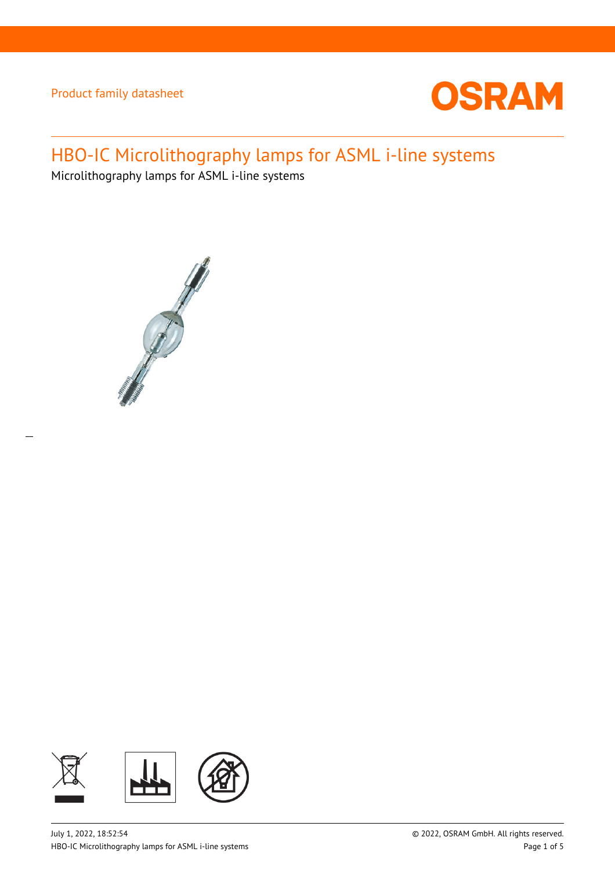

# HBO-IC Microlithography lamps for ASML i-line systems

Microlithography lamps for ASML i-line systems



 $\overline{a}$ 

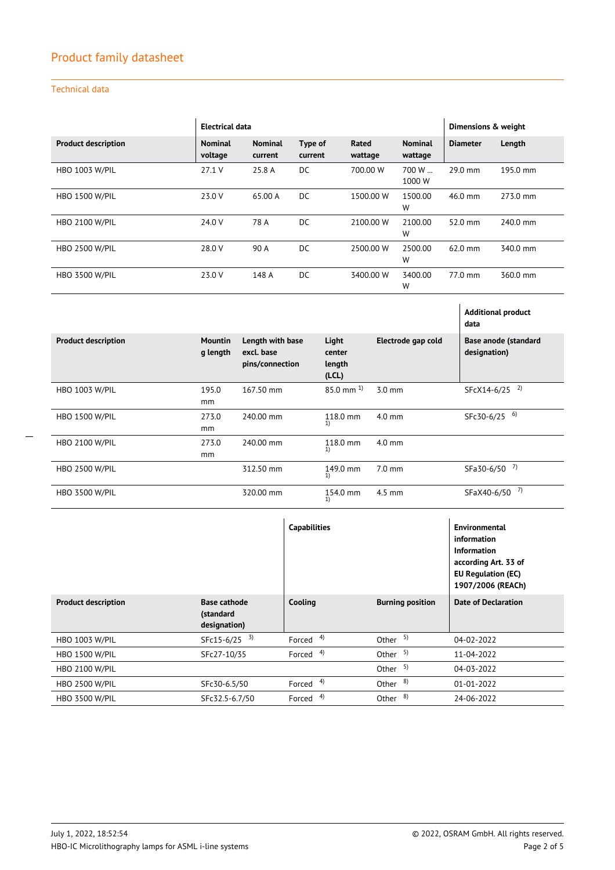### Technical data

|                            | Electrical data           |                           |                    |                  | Dimensions & weight       |                 |          |
|----------------------------|---------------------------|---------------------------|--------------------|------------------|---------------------------|-----------------|----------|
| <b>Product description</b> | <b>Nominal</b><br>voltage | <b>Nominal</b><br>current | Type of<br>current | Rated<br>wattage | <b>Nominal</b><br>wattage | <b>Diameter</b> | Length   |
| <b>HBO 1003 W/PIL</b>      | 27.1 V                    | 25.8 A                    | DC.                | 700.00 W         | 700 W<br>1000 W           | 29.0 mm         | 195.0 mm |
| <b>HBO 1500 W/PIL</b>      | 23.0 V                    | 65.00 A                   | DC.                | 1500.00 W        | 1500.00<br>W              | $46.0$ mm       | 273.0 mm |
| <b>HBO 2100 W/PIL</b>      | 24.0 V                    | 78 A                      | DC.                | 2100.00 W        | 2100.00<br>W              | $52.0$ mm       | 240.0 mm |
| <b>HBO 2500 W/PIL</b>      | 28.0 V                    | 90 A                      | DC.                | 2500.00 W        | 2500.00<br>W              | $62.0$ mm       | 340.0 mm |
| <b>HBO 3500 W/PIL</b>      | 23.0 V                    | 148 A                     | DC.                | 3400.00 W        | 3400.00<br>W              | 77.0 mm         | 360.0 mm |

|                            |                     |                                                   |                                    |                    | <b>Additional product</b><br>data    |
|----------------------------|---------------------|---------------------------------------------------|------------------------------------|--------------------|--------------------------------------|
| <b>Product description</b> | Mountin<br>g length | Length with base<br>excl. base<br>pins/connection | Light<br>center<br>length<br>(LCL) | Electrode gap cold | Base anode (standard<br>designation) |
| <b>HBO 1003 W/PIL</b>      | 195.0               | 167.50 mm                                         | $85.0$ mm $^{1}$                   | $3.0 \text{ mm}$   | 2)<br>SFcX14-6/25                    |
|                            | mm                  |                                                   |                                    |                    |                                      |
| <b>HBO 1500 W/PIL</b>      | 273.0               | 240.00 mm                                         | 118.0 mm<br>1)                     | $4.0 \text{ mm}$   | 6)<br>SFc30-6/25                     |
|                            | mm                  |                                                   |                                    |                    |                                      |
| <b>HBO 2100 W/PIL</b>      | 273.0               | 240.00 mm                                         | 118.0 mm                           | $4.0$ mm           |                                      |
|                            | mm                  |                                                   | 1)                                 |                    |                                      |
| <b>HBO 2500 W/PIL</b>      |                     | 312.50 mm                                         | 149.0 mm<br>1)                     | $7.0 \text{ mm}$   | 7)<br>SFa30-6/50                     |
| <b>HBO 3500 W/PIL</b>      |                     | 320.00 mm                                         | 154.0 mm<br>1)                     | $4.5$ mm           | 7)<br>SFaX40-6/50                    |

|                            |                                                  | <b>Capabilities</b>  |                         | <b>Environmental</b><br>information<br><b>Information</b><br>according Art. 33 of<br><b>EU Regulation (EC)</b><br>1907/2006 (REACh) |
|----------------------------|--------------------------------------------------|----------------------|-------------------------|-------------------------------------------------------------------------------------------------------------------------------------|
| <b>Product description</b> | <b>Base cathode</b><br>(standard<br>designation) | Cooling              | <b>Burning position</b> | <b>Date of Declaration</b>                                                                                                          |
| <b>HBO 1003 W/PIL</b>      | 3)<br>SFc15-6/25                                 | 4)<br>Forced         | Other $5$ )             | 04-02-2022                                                                                                                          |
| <b>HBO 1500 W/PIL</b>      | SFc27-10/35                                      | Forced <sup>4)</sup> | Other $5$ )             | 11-04-2022                                                                                                                          |
| <b>HBO 2100 W/PIL</b>      |                                                  |                      | 5)<br>Other             | 04-03-2022                                                                                                                          |
| <b>HBO 2500 W/PIL</b>      | SFc30-6.5/50                                     | 4)<br>Forced         | 8)<br>Other             | 01-01-2022                                                                                                                          |
| <b>HBO 3500 W/PIL</b>      | SFc32.5-6.7/50                                   | 4)<br>Forced         | 8)<br>Other             | 24-06-2022                                                                                                                          |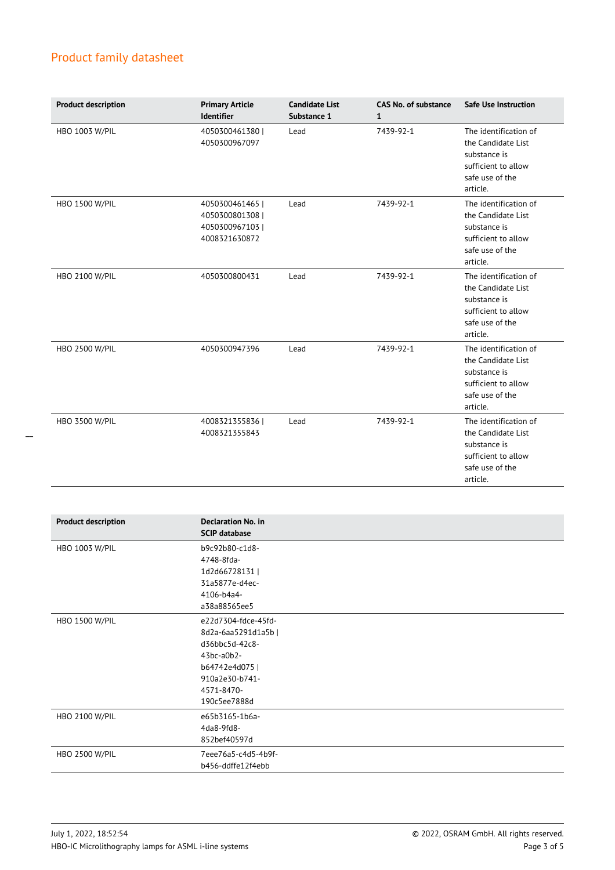| <b>Product description</b> | <b>Primary Article</b><br><b>Identifier</b>                        | <b>Candidate List</b><br>Substance 1 | <b>CAS No. of substance</b><br>1 | <b>Safe Use Instruction</b>                                                                                       |
|----------------------------|--------------------------------------------------------------------|--------------------------------------|----------------------------------|-------------------------------------------------------------------------------------------------------------------|
| <b>HBO 1003 W/PIL</b>      | 4050300461380  <br>4050300967097                                   | Lead                                 | 7439-92-1                        | The identification of<br>the Candidate List<br>substance is<br>sufficient to allow<br>safe use of the<br>article. |
| <b>HBO 1500 W/PIL</b>      | 4050300461465  <br>4050300801308<br>4050300967103<br>4008321630872 | Lead                                 | 7439-92-1                        | The identification of<br>the Candidate List<br>substance is<br>sufficient to allow<br>safe use of the<br>article. |
| <b>HBO 2100 W/PIL</b>      | 4050300800431                                                      | Lead                                 | 7439-92-1                        | The identification of<br>the Candidate List<br>substance is<br>sufficient to allow<br>safe use of the<br>article. |
| <b>HBO 2500 W/PIL</b>      | 4050300947396                                                      | Lead                                 | 7439-92-1                        | The identification of<br>the Candidate List<br>substance is<br>sufficient to allow<br>safe use of the<br>article. |
| <b>HBO 3500 W/PIL</b>      | 4008321355836  <br>4008321355843                                   | Lead                                 | 7439-92-1                        | The identification of<br>the Candidate List<br>substance is<br>sufficient to allow<br>safe use of the<br>article. |

| <b>Product description</b> | <b>Declaration No. in</b><br><b>SCIP database</b> |
|----------------------------|---------------------------------------------------|
| HBO 1003 W/PIL             | b9c92b80-c1d8-                                    |
|                            | 4748-8fda-                                        |
|                            | 1d2d66728131                                      |
|                            | 31a5877e-d4ec-                                    |
|                            | 4106-b4a4-                                        |
|                            | a38a88565ee5                                      |
| <b>HBO 1500 W/PIL</b>      | e22d7304-fdce-45fd-                               |
|                            | 8d2a-6aa5291d1a5b                                 |
|                            | d36bbc5d-42c8-                                    |
|                            | $43bc-a0b2-$                                      |
|                            | b64742e4d075                                      |
|                            | 910a2e30-b741-                                    |
|                            | 4571-8470-                                        |
|                            | 190c5ee7888d                                      |
| HBO 2100 W/PIL             | e65b3165-1b6a-                                    |
|                            | 4da8-9fd8-                                        |
|                            | 852bef40597d                                      |
| <b>HBO 2500 W/PIL</b>      | 7eee76a5-c4d5-4b9f-                               |
|                            | b456-ddffe12f4ebb                                 |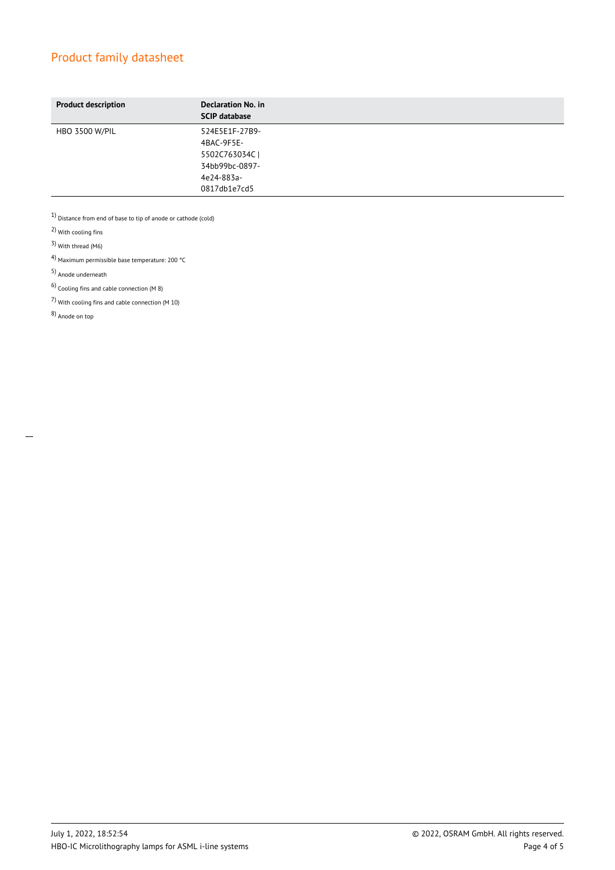| <b>Product description</b> | Declaration No. in<br><b>SCIP database</b> |
|----------------------------|--------------------------------------------|
| <b>HBO 3500 W/PIL</b>      | 524E5E1F-27B9-                             |
|                            | 4BAC-9F5E-                                 |
|                            | 5502C763034CI                              |
|                            | 34bb99bc-0897-                             |
|                            | 4e24-883a-                                 |
|                            | 0817db1e7cd5                               |

 $1)$  Distance from end of base to tip of anode or cathode (cold)

2) With cooling fins

3) With thread (M6)

4) Maximum permissible base temperature: 200 °C

5) Anode underneath

 $6$ ) Cooling fins and cable connection (M 8)

7) With cooling fins and cable connection (M 10)

8) Anode on top